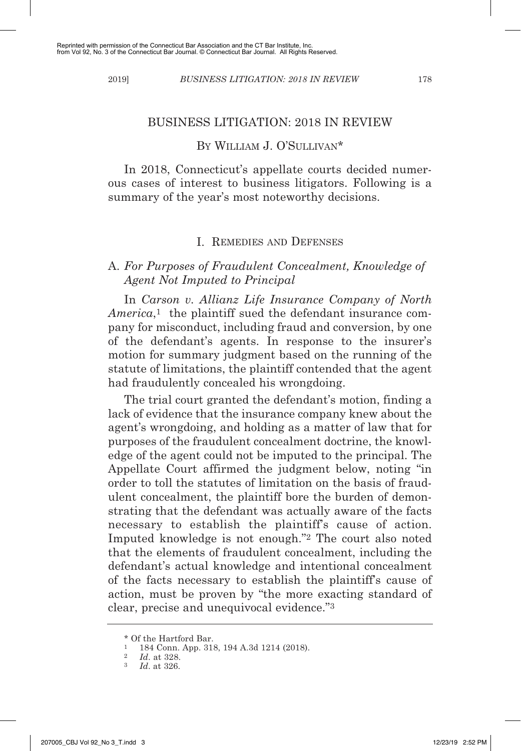#### BUSINESS LITIGATION: 2018 IN REVIEW

### BY WILLIAM J. O'SULLIVAN\*

In 2018, Connecticut's appellate courts decided numerous cases of interest to business litigators. Following is a summary of the year's most noteworthy decisions.

### I. REMEDIES AND DEFENSES

### A. *For Purposes of Fraudulent Concealment, Knowledge of Agent Not Imputed to Principal*

In *Carson v. Allianz Life Insurance Company of North America*,<sup>1</sup> the plaintiff sued the defendant insurance company for misconduct, including fraud and conversion, by one of the defendant's agents. In response to the insurer's motion for summary judgment based on the running of the statute of limitations, the plaintiff contended that the agent had fraudulently concealed his wrongdoing.

The trial court granted the defendant's motion, finding a lack of evidence that the insurance company knew about the agent's wrongdoing, and holding as a matter of law that for purposes of the fraudulent concealment doctrine, the knowledge of the agent could not be imputed to the principal. The Appellate Court affirmed the judgment below, noting "in order to toll the statutes of limitation on the basis of fraudulent concealment, the plaintiff bore the burden of demonstrating that the defendant was actually aware of the facts necessary to establish the plaintiff's cause of action. Imputed knowledge is not enough."2 The court also noted that the elements of fraudulent concealment, including the defendant's actual knowledge and intentional concealment of the facts necessary to establish the plaintiff's cause of action, must be proven by "the more exacting standard of clear, precise and unequivocal evidence."3

 $*$  Of the Hartford Bar.<br> $1.184$  Conn. App. 31.

 $\frac{1}{2}$  184 Conn. App. 318, 194 A.3d 1214 (2018).

<sup>2</sup> *Id*. at 328.

<sup>3</sup> *Id*. at 326.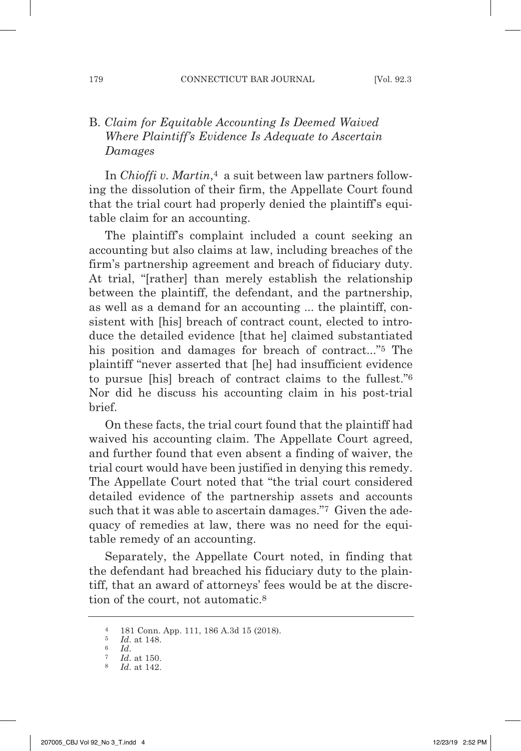## B. *Claim for Equitable Accounting Is Deemed Waived Where Plaintiff's Evidence Is Adequate to Ascertain Damages*

In *Chioffi v. Martin*,4 a suit between law partners following the dissolution of their firm, the Appellate Court found that the trial court had properly denied the plaintiff's equitable claim for an accounting.

The plaintiff's complaint included a count seeking an accounting but also claims at law, including breaches of the firm's partnership agreement and breach of fiduciary duty. At trial, "[rather] than merely establish the relationship between the plaintiff, the defendant, and the partnership, as well as a demand for an accounting ... the plaintiff, consistent with [his] breach of contract count, elected to introduce the detailed evidence [that he] claimed substantiated his position and damages for breach of contract..."5 The plaintiff "never asserted that [he] had insufficient evidence to pursue [his] breach of contract claims to the fullest."6 Nor did he discuss his accounting claim in his post-trial brief.

On these facts, the trial court found that the plaintiff had waived his accounting claim. The Appellate Court agreed, and further found that even absent a finding of waiver, the trial court would have been justified in denying this remedy. The Appellate Court noted that "the trial court considered detailed evidence of the partnership assets and accounts such that it was able to ascertain damages."7 Given the adequacy of remedies at law, there was no need for the equitable remedy of an accounting.

Separately, the Appellate Court noted, in finding that the defendant had breached his fiduciary duty to the plaintiff, that an award of attorneys' fees would be at the discretion of the court, not automatic.8

<sup>4</sup> 181 Conn. App. 111, 186 A.3d 15 (2018).

 $\frac{5}{6}$  *Id.* at 148.

<sup>6</sup> *Id*. 7 *Id*. at 150.

<sup>8</sup> *Id*. at 142.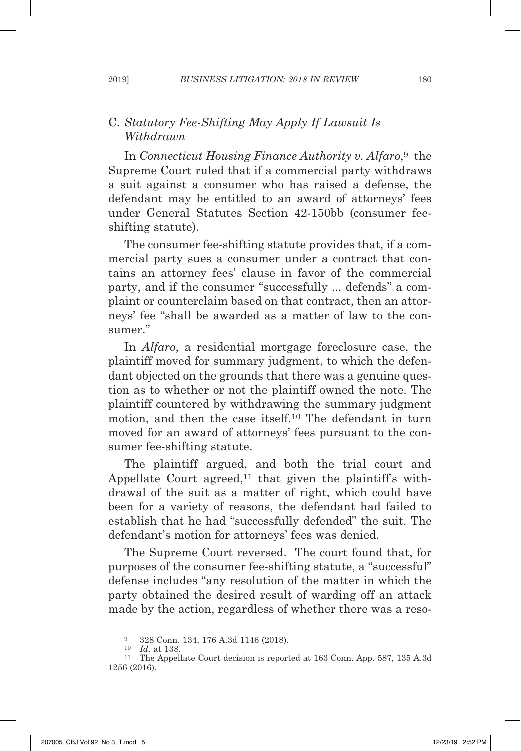## C. *Statutory Fee-Shifting May Apply If Lawsuit Is Withdrawn*

In *Connecticut Housing Finance Authority v. Alfaro*,9 the Supreme Court ruled that if a commercial party withdraws a suit against a consumer who has raised a defense, the defendant may be entitled to an award of attorneys' fees under General Statutes Section 42-150bb (consumer feeshifting statute).

The consumer fee-shifting statute provides that, if a commercial party sues a consumer under a contract that contains an attorney fees' clause in favor of the commercial party, and if the consumer "successfully ... defends" a complaint or counterclaim based on that contract, then an attorneys' fee "shall be awarded as a matter of law to the consumer."

In *Alfaro*, a residential mortgage foreclosure case, the plaintiff moved for summary judgment, to which the defendant objected on the grounds that there was a genuine question as to whether or not the plaintiff owned the note. The plaintiff countered by withdrawing the summary judgment motion, and then the case itself.10 The defendant in turn moved for an award of attorneys' fees pursuant to the consumer fee-shifting statute.

The plaintiff argued, and both the trial court and Appellate Court agreed,<sup>11</sup> that given the plaintiff's withdrawal of the suit as a matter of right, which could have been for a variety of reasons, the defendant had failed to establish that he had "successfully defended" the suit. The defendant's motion for attorneys' fees was denied.

The Supreme Court reversed. The court found that, for purposes of the consumer fee-shifting statute, a "successful" defense includes "any resolution of the matter in which the party obtained the desired result of warding off an attack made by the action, regardless of whether there was a reso-

<sup>9</sup> 328 Conn. 134, 176 A.3d 1146 (2018).

<sup>10</sup> *Id*. at 138.

<sup>11</sup> The Appellate Court decision is reported at 163 Conn. App. 587, 135 A.3d 1256 (2016).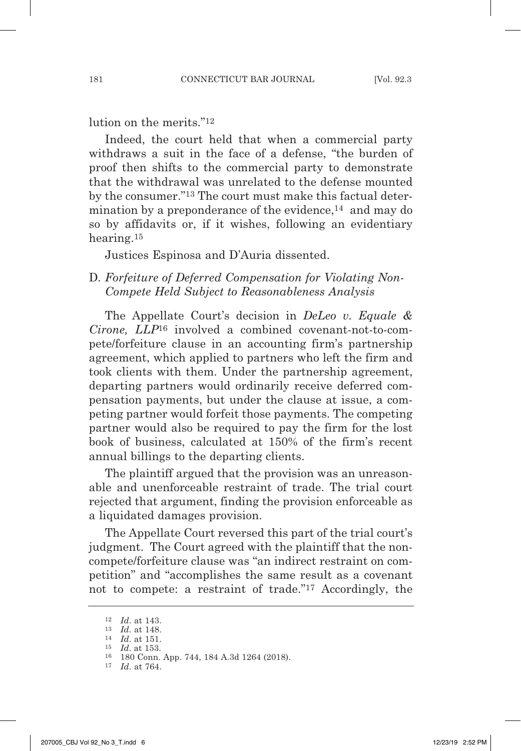lution on the merits."<sup>12</sup>

Indeed, the court held that when a commercial party withdraws a suit in the face of a defense, "the burden of proof then shifts to the commercial party to demonstrate that the withdrawal was unrelated to the defense mounted by the consumer."13 The court must make this factual determination by a preponderance of the evidence,<sup>14</sup> and may do so by affidavits or, if it wishes, following an evidentiary hearing.15

Justices Espinosa and D'Auria dissented.

### D*. Forfeiture of Deferred Compensation for Violating Non- Compete Held Subject to Reasonableness Analysis*

The Appellate Court's decision in *DeLeo v. Equale & Cirone, LLP*16 involved a combined covenant-not-to-compete/forfeiture clause in an accounting firm's partnership agreement, which applied to partners who left the firm and took clients with them. Under the partnership agreement, departing partners would ordinarily receive deferred compensation payments, but under the clause at issue, a competing partner would forfeit those payments. The competing partner would also be required to pay the firm for the lost book of business, calculated at 150% of the firm's recent annual billings to the departing clients.

The plaintiff argued that the provision was an unreasonable and unenforceable restraint of trade. The trial court rejected that argument, finding the provision enforceable as a liquidated damages provision.

The Appellate Court reversed this part of the trial court's judgment. The Court agreed with the plaintiff that the noncompete/forfeiture clause was "an indirect restraint on competition" and "accomplishes the same result as a covenant not to compete: a restraint of trade."17 Accordingly, the

<sup>12</sup> *Id*. at 143.

<sup>13</sup> *Id*. at 148.

<sup>14</sup> *Id*. at 151.

<sup>15</sup> *Id*. at 153. 16 180 Conn. App. 744, 184 A.3d 1264 (2018).

<sup>17</sup> *Id*. at 764.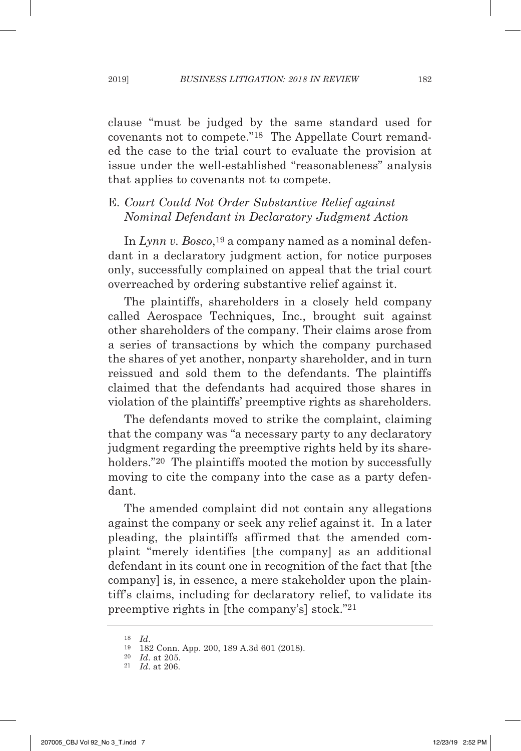clause "must be judged by the same standard used for covenants not to compete."18 The Appellate Court remanded the case to the trial court to evaluate the provision at issue under the well-established "reasonableness" analysis that applies to covenants not to compete.

# E. *Court Could Not Order Substantive Relief against Nominal Defendant in Declaratory Judgment Action*

In *Lynn v. Bosco*,19 a company named as a nominal defendant in a declaratory judgment action, for notice purposes only, successfully complained on appeal that the trial court overreached by ordering substantive relief against it.

The plaintiffs, shareholders in a closely held company called Aerospace Techniques, Inc., brought suit against other shareholders of the company. Their claims arose from a series of transactions by which the company purchased the shares of yet another, nonparty shareholder, and in turn reissued and sold them to the defendants. The plaintiffs claimed that the defendants had acquired those shares in violation of the plaintiffs' preemptive rights as shareholders.

The defendants moved to strike the complaint, claiming that the company was "a necessary party to any declaratory judgment regarding the preemptive rights held by its shareholders."<sup>20</sup> The plaintiffs mooted the motion by successfully moving to cite the company into the case as a party defendant.

The amended complaint did not contain any allegations against the company or seek any relief against it. In a later pleading, the plaintiffs affirmed that the amended complaint "merely identifies [the company] as an additional defendant in its count one in recognition of the fact that [the company] is, in essence, a mere stakeholder upon the plaintiff's claims, including for declaratory relief, to validate its preemptive rights in [the company's] stock."21

<sup>18</sup> *Id*. 19 182 Conn. App. 200, 189 A.3d 601 (2018).

<sup>20</sup> *Id*. at 205.

<sup>21</sup> *Id*. at 206.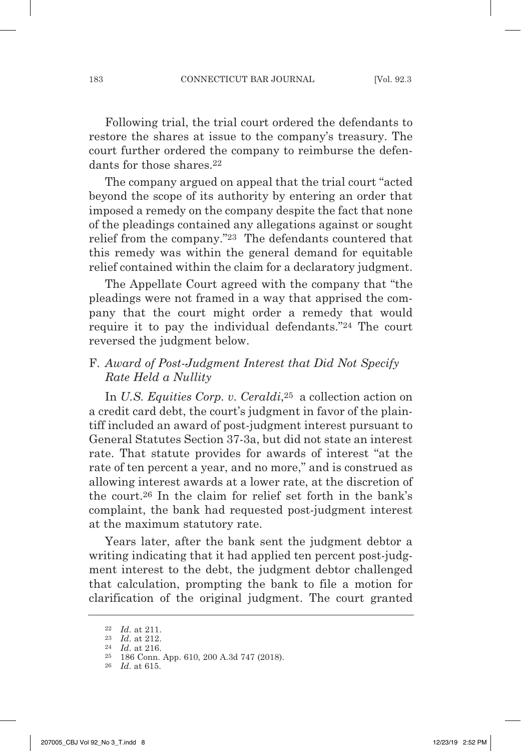Following trial, the trial court ordered the defendants to restore the shares at issue to the company's treasury. The court further ordered the company to reimburse the defendants for those shares 22

The company argued on appeal that the trial court "acted beyond the scope of its authority by entering an order that imposed a remedy on the company despite the fact that none of the pleadings contained any allegations against or sought relief from the company."23 The defendants countered that this remedy was within the general demand for equitable relief contained within the claim for a declaratory judgment.

The Appellate Court agreed with the company that "the pleadings were not framed in a way that apprised the company that the court might order a remedy that would require it to pay the individual defendants."24 The court reversed the judgment below.

# F. *Award of Post-Judgment Interest that Did Not Specify Rate Held a Nullity*

In *U.S. Equities Corp. v. Ceraldi*,25 a collection action on a credit card debt, the court's judgment in favor of the plaintiff included an award of post-judgment interest pursuant to General Statutes Section 37-3a, but did not state an interest rate. That statute provides for awards of interest "at the rate of ten percent a year, and no more," and is construed as allowing interest awards at a lower rate, at the discretion of the court.26 In the claim for relief set forth in the bank's complaint, the bank had requested post-judgment interest at the maximum statutory rate.

Years later, after the bank sent the judgment debtor a writing indicating that it had applied ten percent post-judgment interest to the debt, the judgment debtor challenged that calculation, prompting the bank to file a motion for clarification of the original judgment. The court granted

<sup>22</sup> *Id*. at 211. 23 *Id*. at 212.

<sup>24</sup> *Id*. at 216.

<sup>25</sup> 186 Conn. App. 610, 200 A.3d 747 (2018).

<sup>26</sup> *Id*. at 615.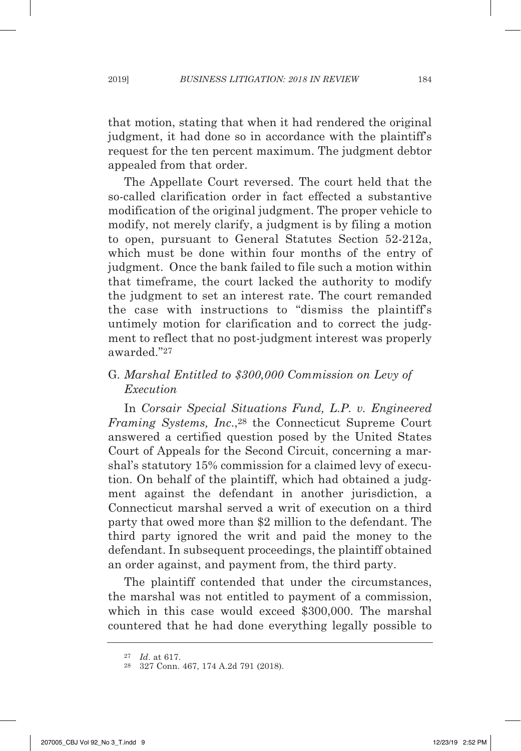that motion, stating that when it had rendered the original judgment, it had done so in accordance with the plaintiff's request for the ten percent maximum. The judgment debtor appealed from that order.

The Appellate Court reversed. The court held that the so-called clarification order in fact effected a substantive modification of the original judgment. The proper vehicle to modify, not merely clarify, a judgment is by filing a motion to open, pursuant to General Statutes Section 52-212a, which must be done within four months of the entry of judgment. Once the bank failed to file such a motion within that timeframe, the court lacked the authority to modify the judgment to set an interest rate. The court remanded the case with instructions to "dismiss the plaintiff's untimely motion for clarification and to correct the judgment to reflect that no post-judgment interest was properly awarded."27

## G*. Marshal Entitled to \$300,000 Commission on Levy of Execution*

In *Corsair Special Situations Fund, L.P. v. Engineered Framing Systems, Inc*.,28 the Connecticut Supreme Court answered a certified question posed by the United States Court of Appeals for the Second Circuit, concerning a marshal's statutory 15% commission for a claimed levy of execution. On behalf of the plaintiff, which had obtained a judgment against the defendant in another jurisdiction, a Connecticut marshal served a writ of execution on a third party that owed more than \$2 million to the defendant. The third party ignored the writ and paid the money to the defendant. In subsequent proceedings, the plaintiff obtained an order against, and payment from, the third party.

The plaintiff contended that under the circumstances, the marshal was not entitled to payment of a commission, which in this case would exceed \$300,000. The marshal countered that he had done everything legally possible to

<sup>27</sup> *Id*. at 617. 28 327 Conn. 467, 174 A.2d 791 (2018).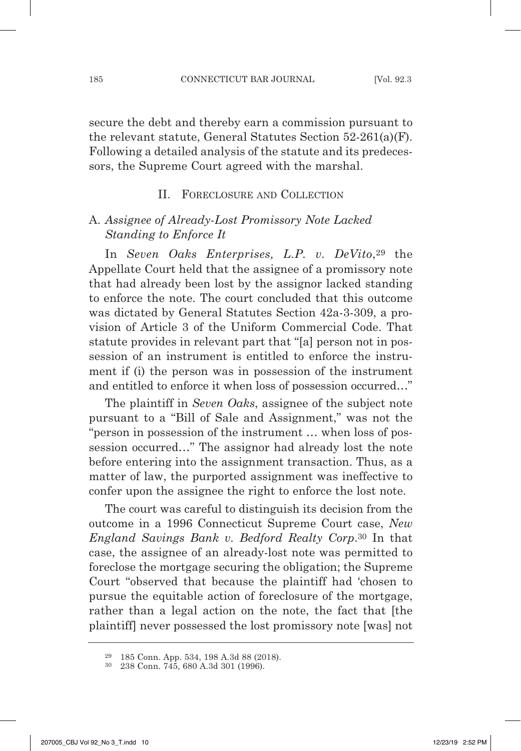secure the debt and thereby earn a commission pursuant to the relevant statute, General Statutes Section 52-261(a)(F). Following a detailed analysis of the statute and its predecessors, the Supreme Court agreed with the marshal.

#### II. FORECLOSURE AND COLLECTION

### A. *Assignee of Already-Lost Promissory Note Lacked Standing to Enforce It*

In *Seven Oaks Enterprises, L.P. v. DeVito*,29 the Appellate Court held that the assignee of a promissory note that had already been lost by the assignor lacked standing to enforce the note. The court concluded that this outcome was dictated by General Statutes Section 42a-3-309, a provision of Article 3 of the Uniform Commercial Code. That statute provides in relevant part that "[a] person not in possession of an instrument is entitled to enforce the instrument if (i) the person was in possession of the instrument and entitled to enforce it when loss of possession occurred…"

The plaintiff in *Seven Oaks*, assignee of the subject note pursuant to a "Bill of Sale and Assignment," was not the "person in possession of the instrument … when loss of possession occurred…" The assignor had already lost the note before entering into the assignment transaction. Thus, as a matter of law, the purported assignment was ineffective to confer upon the assignee the right to enforce the lost note.

The court was careful to distinguish its decision from the outcome in a 1996 Connecticut Supreme Court case, *New England Savings Bank v. Bedford Realty Corp*.30 In that case, the assignee of an already-lost note was permitted to foreclose the mortgage securing the obligation; the Supreme Court "observed that because the plaintiff had 'chosen to pursue the equitable action of foreclosure of the mortgage, rather than a legal action on the note, the fact that [the plaintiff] never possessed the lost promissory note [was] not

<sup>29</sup> 185 Conn. App. 534, 198 A.3d 88 (2018). 30 238 Conn. 745, 680 A.3d 301 (1996).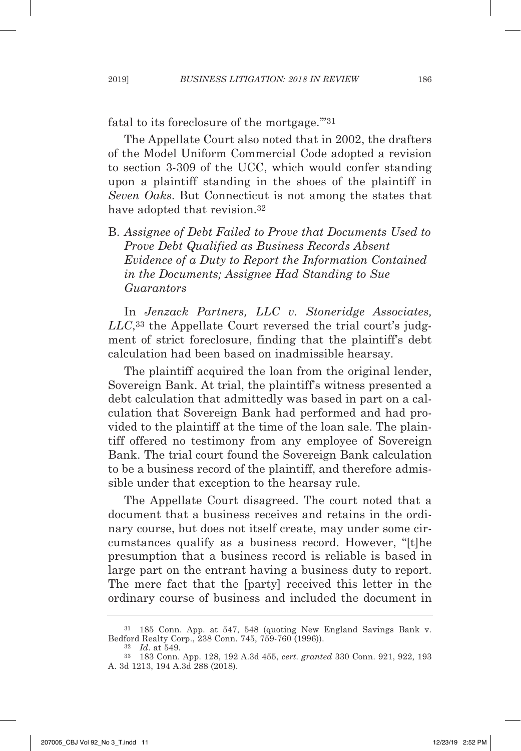fatal to its foreclosure of the mortgage.'"31

The Appellate Court also noted that in 2002, the drafters of the Model Uniform Commercial Code adopted a revision to section 3-309 of the UCC, which would confer standing upon a plaintiff standing in the shoes of the plaintiff in *Seven Oaks*. But Connecticut is not among the states that have adopted that revision.<sup>32</sup>

B. *Assignee of Debt Failed to Prove that Documents Used to Prove Debt Qualified as Business Records Absent Evidence of a Duty to Report the Information Contained in the Documents; Assignee Had Standing to Sue Guarantors*

In *Jenzack Partners, LLC v. Stoneridge Associates, LLC*,33 the Appellate Court reversed the trial court's judgment of strict foreclosure, finding that the plaintiff's debt calculation had been based on inadmissible hearsay.

The plaintiff acquired the loan from the original lender, Sovereign Bank. At trial, the plaintiff's witness presented a debt calculation that admittedly was based in part on a calculation that Sovereign Bank had performed and had provided to the plaintiff at the time of the loan sale. The plaintiff offered no testimony from any employee of Sovereign Bank. The trial court found the Sovereign Bank calculation to be a business record of the plaintiff, and therefore admissible under that exception to the hearsay rule.

The Appellate Court disagreed. The court noted that a document that a business receives and retains in the ordinary course, but does not itself create, may under some circumstances qualify as a business record. However, "[t]he presumption that a business record is reliable is based in large part on the entrant having a business duty to report. The mere fact that the [party] received this letter in the ordinary course of business and included the document in

<sup>31</sup> 185 Conn. App. at 547, 548 (quoting New England Savings Bank v. Bedford Realty Corp., 238 Conn. 745, 759-760 (1996)).

<sup>32</sup> *Id*. at 549. 33 183 Conn. App. 128, 192 A.3d 455, *cert. granted* 330 Conn. 921, 922, 193 A. 3d 1213, 194 A.3d 288 (2018).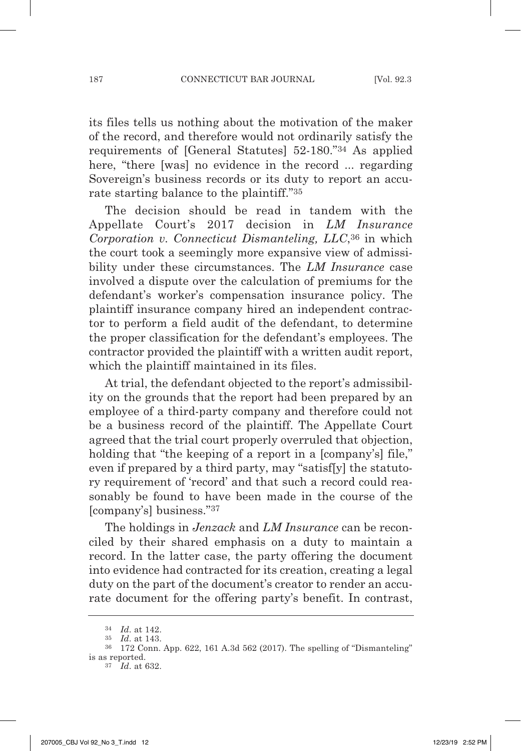its files tells us nothing about the motivation of the maker of the record, and therefore would not ordinarily satisfy the requirements of [General Statutes] 52-180."34 As applied here, "there [was] no evidence in the record ... regarding Sovereign's business records or its duty to report an accurate starting balance to the plaintiff."35

The decision should be read in tandem with the Appellate Court's 2017 decision in *LM Insurance Corporation v. Connecticut Dismanteling, LLC*,36 in which the court took a seemingly more expansive view of admissibility under these circumstances. The *LM Insurance* case involved a dispute over the calculation of premiums for the defendant's worker's compensation insurance policy. The plaintiff insurance company hired an independent contractor to perform a field audit of the defendant, to determine the proper classification for the defendant's employees. The contractor provided the plaintiff with a written audit report, which the plaintiff maintained in its files.

At trial, the defendant objected to the report's admissibility on the grounds that the report had been prepared by an employee of a third-party company and therefore could not be a business record of the plaintiff. The Appellate Court agreed that the trial court properly overruled that objection, holding that "the keeping of a report in a [company's] file," even if prepared by a third party, may "satisf[y] the statutory requirement of 'record' and that such a record could reasonably be found to have been made in the course of the [company's] business."37

The holdings in *Jenzack* and *LM Insurance* can be reconciled by their shared emphasis on a duty to maintain a record. In the latter case, the party offering the document into evidence had contracted for its creation, creating a legal duty on the part of the document's creator to render an accurate document for the offering party's benefit. In contrast,

<sup>34</sup> *Id*. at 142.

<sup>&</sup>lt;sup>36</sup> 172 Conn. App. 622, 161 A.3d 562 (2017). The spelling of "Dismanteling" is as reported.

<sup>37</sup> *Id*. at 632.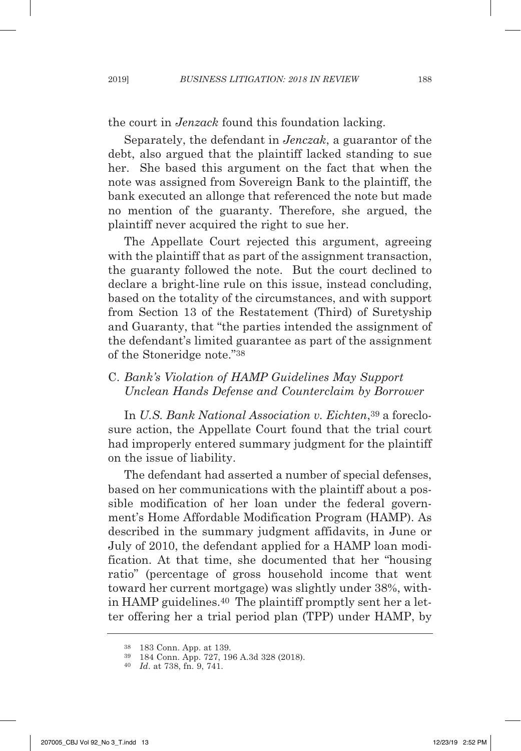the court in *Jenzack* found this foundation lacking.

Separately, the defendant in *Jenczak*, a guarantor of the debt, also argued that the plaintiff lacked standing to sue her. She based this argument on the fact that when the note was assigned from Sovereign Bank to the plaintiff, the bank executed an allonge that referenced the note but made no mention of the guaranty. Therefore, she argued, the plaintiff never acquired the right to sue her.

The Appellate Court rejected this argument, agreeing with the plaintiff that as part of the assignment transaction, the guaranty followed the note. But the court declined to declare a bright-line rule on this issue, instead concluding, based on the totality of the circumstances, and with support from Section 13 of the Restatement (Third) of Suretyship and Guaranty, that "the parties intended the assignment of the defendant's limited guarantee as part of the assignment of the Stoneridge note."38

## C. *Bank's Violation of HAMP Guidelines May Support Unclean Hands Defense and Counterclaim by Borrower*

In *U.S. Bank National Association v. Eichten*,39 a foreclosure action, the Appellate Court found that the trial court had improperly entered summary judgment for the plaintiff on the issue of liability.

The defendant had asserted a number of special defenses, based on her communications with the plaintiff about a possible modification of her loan under the federal government's Home Affordable Modification Program (HAMP). As described in the summary judgment affidavits, in June or July of 2010, the defendant applied for a HAMP loan modification. At that time, she documented that her "housing ratio" (percentage of gross household income that went toward her current mortgage) was slightly under 38%, within HAMP guidelines.40 The plaintiff promptly sent her a letter offering her a trial period plan (TPP) under HAMP, by

<sup>38</sup> 183 Conn. App. at 139.

<sup>39</sup> 184 Conn. App. 727, 196 A.3d 328 (2018). 40 *Id*. at 738, fn. 9, 741.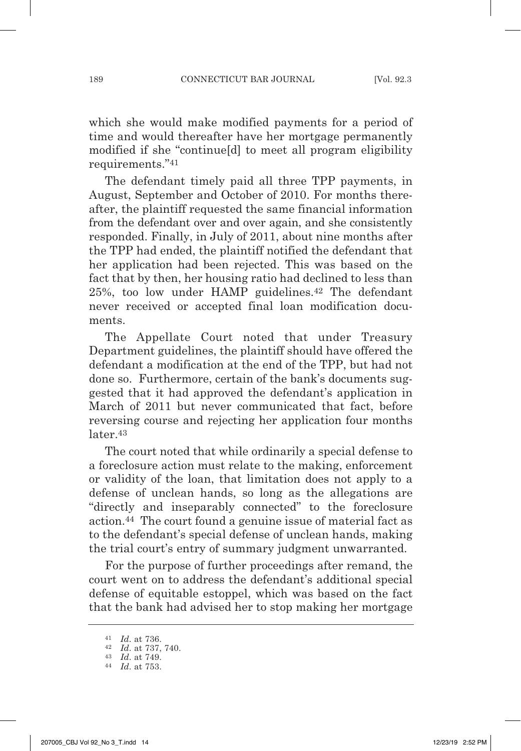which she would make modified payments for a period of time and would thereafter have her mortgage permanently modified if she "continue[d] to meet all program eligibility requirements."41

The defendant timely paid all three TPP payments, in August, September and October of 2010. For months thereafter, the plaintiff requested the same financial information from the defendant over and over again, and she consistently responded. Finally, in July of 2011, about nine months after the TPP had ended, the plaintiff notified the defendant that her application had been rejected. This was based on the fact that by then, her housing ratio had declined to less than 25%, too low under HAMP guidelines.42 The defendant never received or accepted final loan modification documents.

The Appellate Court noted that under Treasury Department guidelines, the plaintiff should have offered the defendant a modification at the end of the TPP, but had not done so. Furthermore, certain of the bank's documents suggested that it had approved the defendant's application in March of 2011 but never communicated that fact, before reversing course and rejecting her application four months later.<sup>43</sup>

The court noted that while ordinarily a special defense to a foreclosure action must relate to the making, enforcement or validity of the loan, that limitation does not apply to a defense of unclean hands, so long as the allegations are "directly and inseparably connected" to the foreclosure action.44 The court found a genuine issue of material fact as to the defendant's special defense of unclean hands, making the trial court's entry of summary judgment unwarranted.

For the purpose of further proceedings after remand, the court went on to address the defendant's additional special defense of equitable estoppel, which was based on the fact that the bank had advised her to stop making her mortgage

<sup>41</sup> *Id*. at 736.

<sup>42</sup> *Id*. at 737, 740. 43 *Id*. at 749.

<sup>44</sup> *Id*. at 753.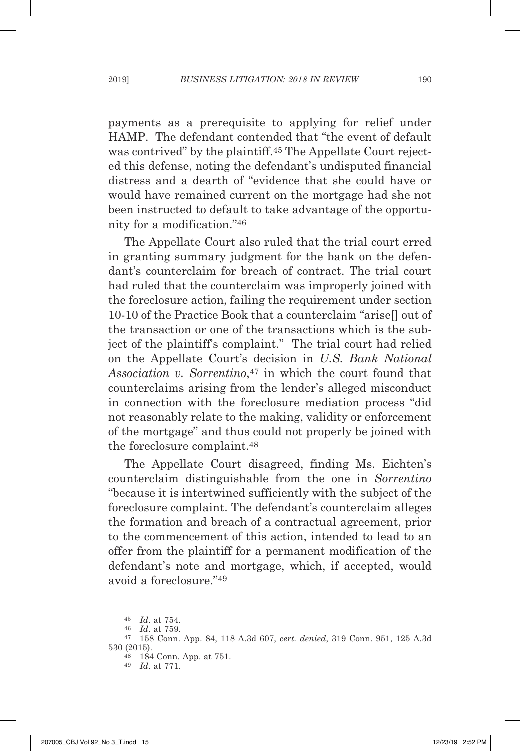payments as a prerequisite to applying for relief under HAMP. The defendant contended that "the event of default was contrived" by the plaintiff.<sup>45</sup> The Appellate Court rejected this defense, noting the defendant's undisputed financial distress and a dearth of "evidence that she could have or would have remained current on the mortgage had she not been instructed to default to take advantage of the opportunity for a modification."46

The Appellate Court also ruled that the trial court erred in granting summary judgment for the bank on the defendant's counterclaim for breach of contract. The trial court had ruled that the counterclaim was improperly joined with the foreclosure action, failing the requirement under section 10-10 of the Practice Book that a counterclaim "arise[] out of the transaction or one of the transactions which is the subject of the plaintiff's complaint." The trial court had relied on the Appellate Court's decision in *U.S. Bank National* Association v. Sorrentino,<sup>47</sup> in which the court found that counterclaims arising from the lender's alleged misconduct in connection with the foreclosure mediation process "did not reasonably relate to the making, validity or enforcement of the mortgage" and thus could not properly be joined with the foreclosure complaint.48

The Appellate Court disagreed, finding Ms. Eichten's counterclaim distinguishable from the one in *Sorrentino* "because it is intertwined sufficiently with the subject of the foreclosure complaint. The defendant's counterclaim alleges the formation and breach of a contractual agreement, prior to the commencement of this action, intended to lead to an offer from the plaintiff for a permanent modification of the defendant's note and mortgage, which, if accepted, would avoid a foreclosure."49

<sup>49</sup> *Id*. at 771.

 $\begin{array}{cc} 45 & Id. \text{ at } 754. \\ 46 & Id. \text{ at } 759. \end{array}$ 

<sup>47 158</sup> Conn. App. 84, 118 A.3d 607, *cert. denied*, 319 Conn. 951, 125 A.3d 530 (2015).

<sup>48</sup> 184 Conn. App. at 751.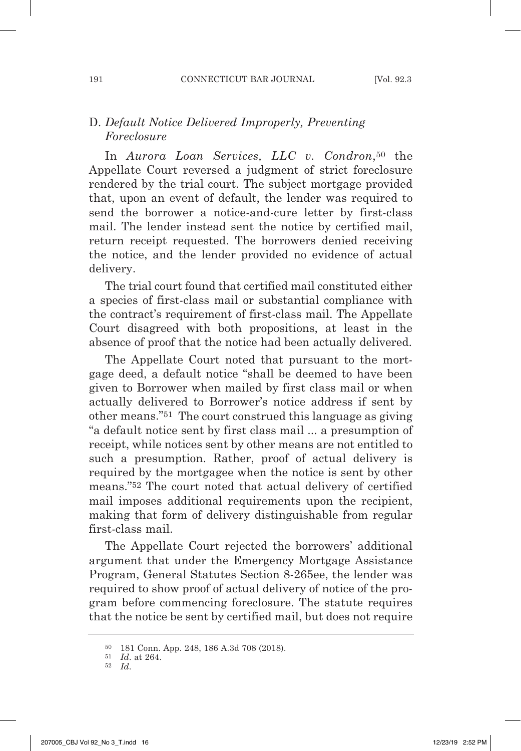# D. *Default Notice Delivered Improperly, Preventing Foreclosure*

In *Aurora Loan Services, LLC v. Condron*,50 the Appellate Court reversed a judgment of strict foreclosure rendered by the trial court. The subject mortgage provided that, upon an event of default, the lender was required to send the borrower a notice-and-cure letter by first-class mail. The lender instead sent the notice by certified mail, return receipt requested. The borrowers denied receiving the notice, and the lender provided no evidence of actual delivery.

The trial court found that certified mail constituted either a species of first-class mail or substantial compliance with the contract's requirement of first-class mail. The Appellate Court disagreed with both propositions, at least in the absence of proof that the notice had been actually delivered.

The Appellate Court noted that pursuant to the mortgage deed, a default notice "shall be deemed to have been given to Borrower when mailed by first class mail or when actually delivered to Borrower's notice address if sent by other means."51 The court construed this language as giving "a default notice sent by first class mail ... a presumption of receipt, while notices sent by other means are not entitled to such a presumption. Rather, proof of actual delivery is required by the mortgagee when the notice is sent by other means."52 The court noted that actual delivery of certified mail imposes additional requirements upon the recipient, making that form of delivery distinguishable from regular first-class mail.

The Appellate Court rejected the borrowers' additional argument that under the Emergency Mortgage Assistance Program, General Statutes Section 8-265ee, the lender was required to show proof of actual delivery of notice of the program before commencing foreclosure. The statute requires that the notice be sent by certified mail, but does not require

<sup>50</sup> 181 Conn. App. 248, 186 A.3d 708 (2018).

<sup>51</sup> *Id*. at 264. 52 *Id*.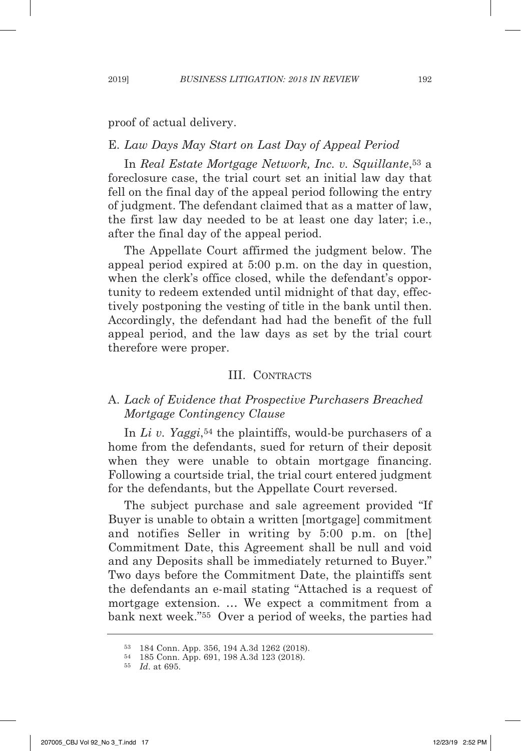proof of actual delivery.

#### E. *Law Days May Start on Last Day of Appeal Period*

In *Real Estate Mortgage Network, Inc. v. Squillante*,53 a foreclosure case, the trial court set an initial law day that fell on the final day of the appeal period following the entry of judgment. The defendant claimed that as a matter of law, the first law day needed to be at least one day later; i.e., after the final day of the appeal period.

The Appellate Court affirmed the judgment below. The appeal period expired at 5:00 p.m. on the day in question, when the clerk's office closed, while the defendant's opportunity to redeem extended until midnight of that day, effectively postponing the vesting of title in the bank until then. Accordingly, the defendant had had the benefit of the full appeal period, and the law days as set by the trial court therefore were proper.

#### III. CONTRACTS

### A. *Lack of Evidence that Prospective Purchasers Breached Mortgage Contingency Clause*

In *Li v. Yaggi*,54 the plaintiffs, would-be purchasers of a home from the defendants, sued for return of their deposit when they were unable to obtain mortgage financing. Following a courtside trial, the trial court entered judgment for the defendants, but the Appellate Court reversed.

The subject purchase and sale agreement provided "If Buyer is unable to obtain a written [mortgage] commitment and notifies Seller in writing by 5:00 p.m. on [the] Commitment Date, this Agreement shall be null and void and any Deposits shall be immediately returned to Buyer." Two days before the Commitment Date, the plaintiffs sent the defendants an e-mail stating "Attached is a request of mortgage extension. … We expect a commitment from a bank next week."55 Over a period of weeks, the parties had

<sup>53</sup> 184 Conn. App. 356, 194 A.3d 1262 (2018).

<sup>54</sup> 185 Conn. App. 691, 198 A.3d 123 (2018). 55 *Id*. at 695.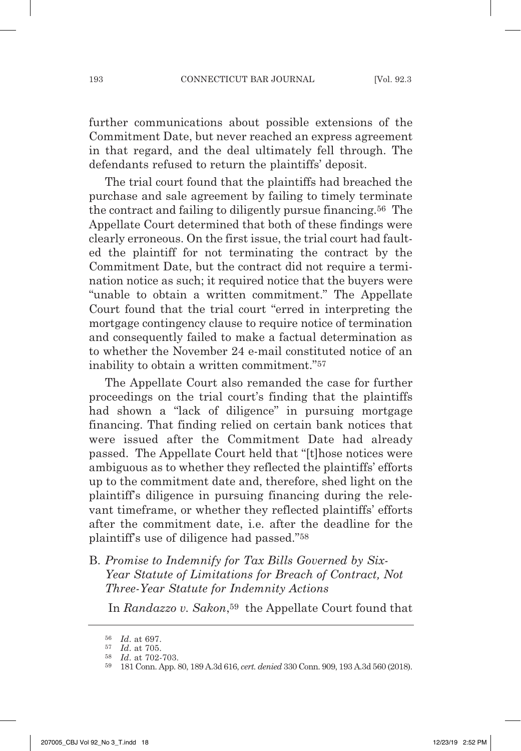further communications about possible extensions of the Commitment Date, but never reached an express agreement in that regard, and the deal ultimately fell through. The defendants refused to return the plaintiffs' deposit.

The trial court found that the plaintiffs had breached the purchase and sale agreement by failing to timely terminate the contract and failing to diligently pursue financing.56 The Appellate Court determined that both of these findings were clearly erroneous. On the first issue, the trial court had faulted the plaintiff for not terminating the contract by the Commitment Date, but the contract did not require a termination notice as such; it required notice that the buyers were "unable to obtain a written commitment." The Appellate Court found that the trial court "erred in interpreting the mortgage contingency clause to require notice of termination and consequently failed to make a factual determination as to whether the November 24 e-mail constituted notice of an inability to obtain a written commitment."57

The Appellate Court also remanded the case for further proceedings on the trial court's finding that the plaintiffs had shown a "lack of diligence" in pursuing mortgage financing. That finding relied on certain bank notices that were issued after the Commitment Date had already passed. The Appellate Court held that "[t]hose notices were ambiguous as to whether they reflected the plaintiffs' efforts up to the commitment date and, therefore, shed light on the plaintiff's diligence in pursuing financing during the relevant timeframe, or whether they reflected plaintiffs' efforts after the commitment date, i.e. after the deadline for the plaintiff's use of diligence had passed."58

B. *Promise to Indemnify for Tax Bills Governed by Six- Year Statute of Limitations for Breach of Contract, Not Three-Year Statute for Indemnity Actions*

In *Randazzo v. Sakon*,59 the Appellate Court found that

<sup>56</sup> *Id*. at 697.

<sup>57</sup> *Id*. at 705. 58 *Id*. at 702-703.

<sup>59</sup> 181 Conn. App. 80, 189 A.3d 616, *cert. denied* 330 Conn. 909, 193 A.3d 560 (2018).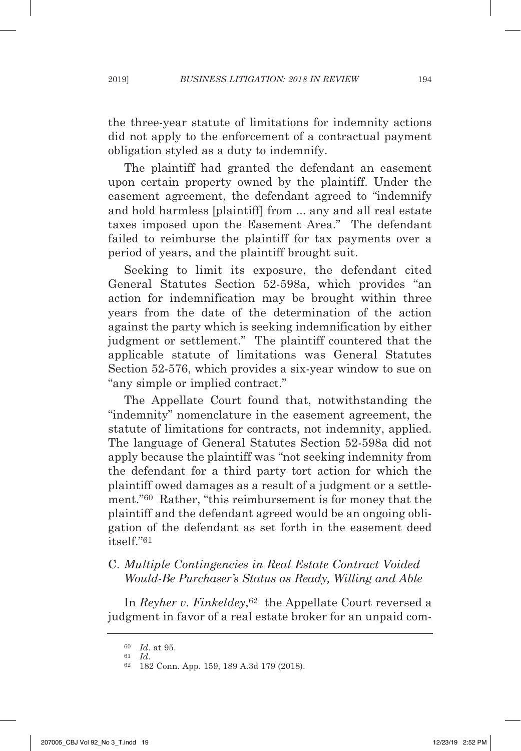the three-year statute of limitations for indemnity actions did not apply to the enforcement of a contractual payment obligation styled as a duty to indemnify.

The plaintiff had granted the defendant an easement upon certain property owned by the plaintiff. Under the easement agreement, the defendant agreed to "indemnify and hold harmless [plaintiff] from ... any and all real estate taxes imposed upon the Easement Area." The defendant failed to reimburse the plaintiff for tax payments over a period of years, and the plaintiff brought suit.

Seeking to limit its exposure, the defendant cited General Statutes Section 52-598a, which provides "an action for indemnification may be brought within three years from the date of the determination of the action against the party which is seeking indemnification by either judgment or settlement." The plaintiff countered that the applicable statute of limitations was General Statutes Section 52-576, which provides a six-year window to sue on "any simple or implied contract."

The Appellate Court found that, notwithstanding the "indemnity" nomenclature in the easement agreement, the statute of limitations for contracts, not indemnity, applied. The language of General Statutes Section 52-598a did not apply because the plaintiff was "not seeking indemnity from the defendant for a third party tort action for which the plaintiff owed damages as a result of a judgment or a settlement."60 Rather, "this reimbursement is for money that the plaintiff and the defendant agreed would be an ongoing obligation of the defendant as set forth in the easement deed itself."61

# C. *Multiple Contingencies in Real Estate Contract Voided Would-Be Purchaser's Status as Ready, Willing and Able*

In *Reyher v. Finkeldey*,<sup>62</sup> the Appellate Court reversed a judgment in favor of a real estate broker for an unpaid com-

<sup>60</sup> *Id*. at 95.

<sup>61</sup> *Id*. 62 182 Conn. App. 159, 189 A.3d 179 (2018).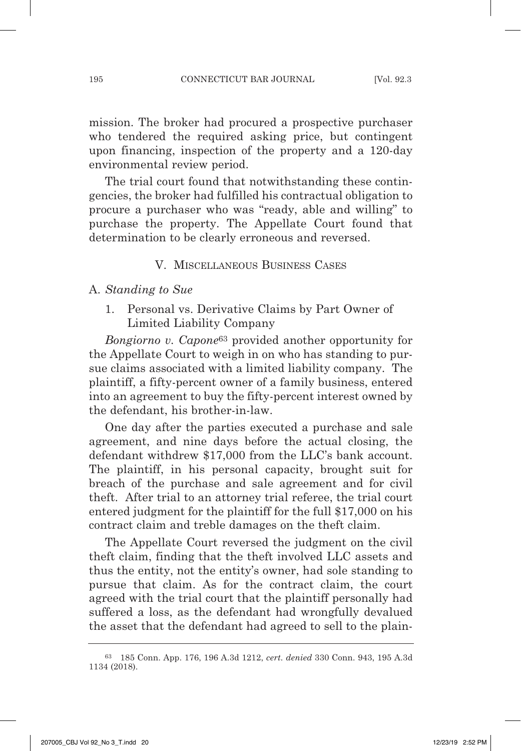mission. The broker had procured a prospective purchaser who tendered the required asking price, but contingent upon financing, inspection of the property and a 120-day environmental review period.

The trial court found that notwithstanding these contingencies, the broker had fulfilled his contractual obligation to procure a purchaser who was "ready, able and willing" to purchase the property. The Appellate Court found that determination to be clearly erroneous and reversed.

#### V. MISCELLANEOUS BUSINESS CASES

#### A. *Standing to Sue*

1. Personal vs. Derivative Claims by Part Owner of Limited Liability Company

*Bongiorno v. Capone*63 provided another opportunity for the Appellate Court to weigh in on who has standing to pursue claims associated with a limited liability company. The plaintiff, a fifty-percent owner of a family business, entered into an agreement to buy the fifty-percent interest owned by the defendant, his brother-in-law.

One day after the parties executed a purchase and sale agreement, and nine days before the actual closing, the defendant withdrew \$17,000 from the LLC's bank account. The plaintiff, in his personal capacity, brought suit for breach of the purchase and sale agreement and for civil theft. After trial to an attorney trial referee, the trial court entered judgment for the plaintiff for the full \$17,000 on his contract claim and treble damages on the theft claim.

The Appellate Court reversed the judgment on the civil theft claim, finding that the theft involved LLC assets and thus the entity, not the entity's owner, had sole standing to pursue that claim. As for the contract claim, the court agreed with the trial court that the plaintiff personally had suffered a loss, as the defendant had wrongfully devalued the asset that the defendant had agreed to sell to the plain-

<sup>63</sup> 185 Conn. App. 176, 196 A.3d 1212, *cert. denied* 330 Conn. 943, 195 A.3d 1134 (2018).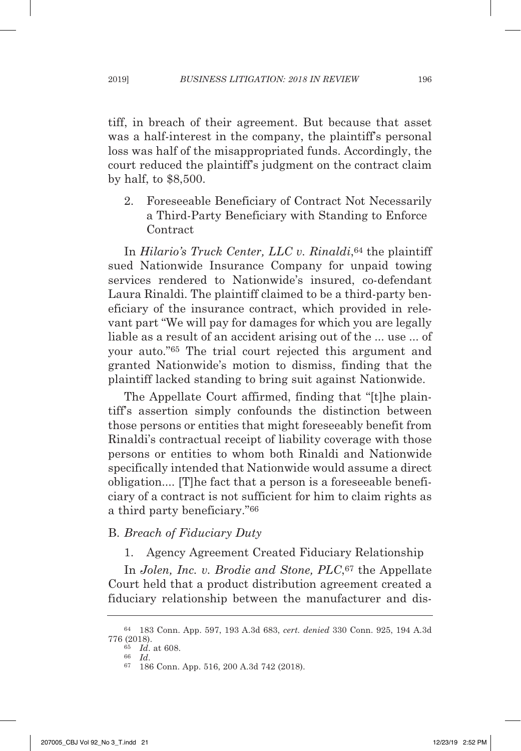tiff, in breach of their agreement. But because that asset was a half-interest in the company, the plaintiff's personal loss was half of the misappropriated funds. Accordingly, the court reduced the plaintiff's judgment on the contract claim by half, to \$8,500.

2. Foreseeable Beneficiary of Contract Not Necessarily a Third-Party Beneficiary with Standing to Enforce **Contract** 

In *Hilario's Truck Center, LLC v. Rinaldi*,64 the plaintiff sued Nationwide Insurance Company for unpaid towing services rendered to Nationwide's insured, co-defendant Laura Rinaldi. The plaintiff claimed to be a third-party beneficiary of the insurance contract, which provided in relevant part "We will pay for damages for which you are legally liable as a result of an accident arising out of the ... use ... of your auto."65 The trial court rejected this argument and granted Nationwide's motion to dismiss, finding that the plaintiff lacked standing to bring suit against Nationwide.

The Appellate Court affirmed, finding that "[t]he plaintiff's assertion simply confounds the distinction between those persons or entities that might foreseeably benefit from Rinaldi's contractual receipt of liability coverage with those persons or entities to whom both Rinaldi and Nationwide specifically intended that Nationwide would assume a direct obligation.... [T]he fact that a person is a foreseeable beneficiary of a contract is not sufficient for him to claim rights as a third party beneficiary."66

#### B. *Breach of Fiduciary Duty*

1. Agency Agreement Created Fiduciary Relationship

In *Jolen, Inc. v. Brodie and Stone, PLC*,<sup>67</sup> the Appellate Court held that a product distribution agreement created a fiduciary relationship between the manufacturer and dis-

<sup>64</sup> 183 Conn. App. 597, 193 A.3d 683, *cert. denied* 330 Conn. 925, 194 A.3d 776 (2018).

 $\frac{65}{66}$  *Id.* at 608.

<sup>66</sup> *Id*. 67 186 Conn. App. 516, 200 A.3d 742 (2018).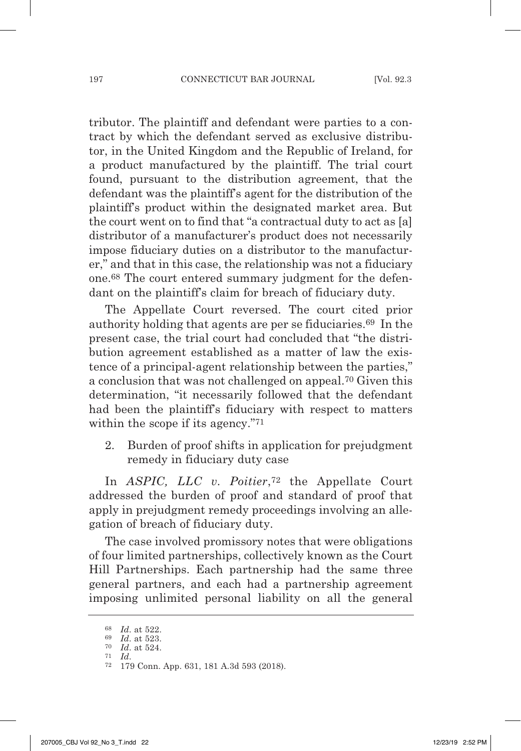tributor. The plaintiff and defendant were parties to a contract by which the defendant served as exclusive distributor, in the United Kingdom and the Republic of Ireland, for a product manufactured by the plaintiff. The trial court found, pursuant to the distribution agreement, that the defendant was the plaintiff's agent for the distribution of the plaintiff's product within the designated market area. But the court went on to find that "a contractual duty to act as [a] distributor of a manufacturer's product does not necessarily impose fiduciary duties on a distributor to the manufacturer," and that in this case, the relationship was not a fiduciary one.68 The court entered summary judgment for the defendant on the plaintiff's claim for breach of fiduciary duty.

The Appellate Court reversed. The court cited prior authority holding that agents are per se fiduciaries.69 In the present case, the trial court had concluded that "the distribution agreement established as a matter of law the existence of a principal-agent relationship between the parties," a conclusion that was not challenged on appeal.70 Given this determination, "it necessarily followed that the defendant had been the plaintiff's fiduciary with respect to matters within the scope if its agency."<sup>71</sup>

2. Burden of proof shifts in application for prejudgment remedy in fiduciary duty case

In *ASPIC, LLC v. Poitier*,72 the Appellate Court addressed the burden of proof and standard of proof that apply in prejudgment remedy proceedings involving an allegation of breach of fiduciary duty.

The case involved promissory notes that were obligations of four limited partnerships, collectively known as the Court Hill Partnerships. Each partnership had the same three general partners, and each had a partnership agreement imposing unlimited personal liability on all the general

<sup>72</sup> 179 Conn. App. 631, 181 A.3d 593 (2018).

<sup>68</sup> *Id*. at 522.

<sup>69</sup> *Id*. at 523.

<sup>70</sup> *Id*. at 524. 71 *Id*.